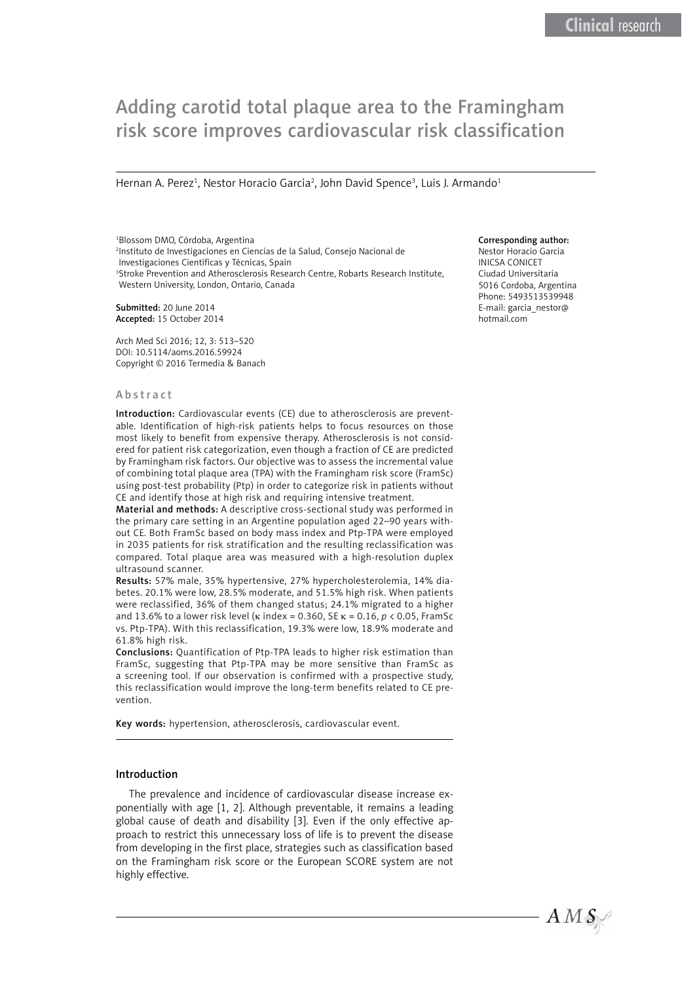# Adding carotid total plaque area to the Framingham risk score improves cardiovascular risk classification

Hernan A. Perez<sup>1</sup>, Nestor Horacio Garcia<sup>2</sup>, John David Spence<sup>3</sup>, Luis J. Armando<sup>1</sup>

1 Blossom DMO, Córdoba, Argentina 2 Instituto de Investigaciones en Ciencias de la Salud, Consejo Nacional de Investigaciones Científicas y Técnicas, Spain <sup>3</sup>Stroke Prevention and Atherosclerosis Research Centre, Robarts Research Institute, Western University, London, Ontario, Canada

Submitted: 20 June 2014 Accepted: 15 October 2014

Arch Med Sci 2016; 12, 3: 513–520 DOI: 10.5114/aoms.2016.59924 Copyright © 2016 Termedia & Banach

#### Abstract

Introduction: Cardiovascular events (CE) due to atherosclerosis are preventable. Identification of high-risk patients helps to focus resources on those most likely to benefit from expensive therapy. Atherosclerosis is not considered for patient risk categorization, even though a fraction of CE are predicted by Framingham risk factors. Our objective was to assess the incremental value of combining total plaque area (TPA) with the Framingham risk score (FramSc) using post-test probability (Ptp) in order to categorize risk in patients without CE and identify those at high risk and requiring intensive treatment.

Material and methods: A descriptive cross-sectional study was performed in the primary care setting in an Argentine population aged 22–90 years without CE. Both FramSc based on body mass index and Ptp-TPA were employed in 2035 patients for risk stratification and the resulting reclassification was compared. Total plaque area was measured with a high-resolution duplex ultrasound scanner.

Results: 57% male, 35% hypertensive, 27% hypercholesterolemia, 14% diabetes. 20.1% were low, 28.5% moderate, and 51.5% high risk. When patients were reclassified, 36% of them changed status; 24.1% migrated to a higher and 13.6% to a lower risk level (k index = 0.360, SE k = 0.16, *p* < 0.05, FramSc vs. Ptp-TPA). With this reclassification, 19.3% were low, 18.9% moderate and 61.8% high risk.

Conclusions: Quantification of Ptp-TPA leads to higher risk estimation than FramSc, suggesting that Ptp-TPA may be more sensitive than FramSc as a screening tool. If our observation is confirmed with a prospective study, this reclassification would improve the long-term benefits related to CE prevention.

Key words: hypertension, atherosclerosis, cardiovascular event.

#### Introduction

The prevalence and incidence of cardiovascular disease increase exponentially with age [1, 2]. Although preventable, it remains a leading global cause of death and disability [3]. Even if the only effective approach to restrict this unnecessary loss of life is to prevent the disease from developing in the first place, strategies such as classification based on the Framingham risk score or the European SCORE system are not highly effective.

### Corresponding author:

Nestor Horacio Garcia INICSA CONICET Ciudad Universitaria 5016 Cordoba, Argentina Phone: 5493513539948 E-mail: garcia\_nestor@ hotmail.com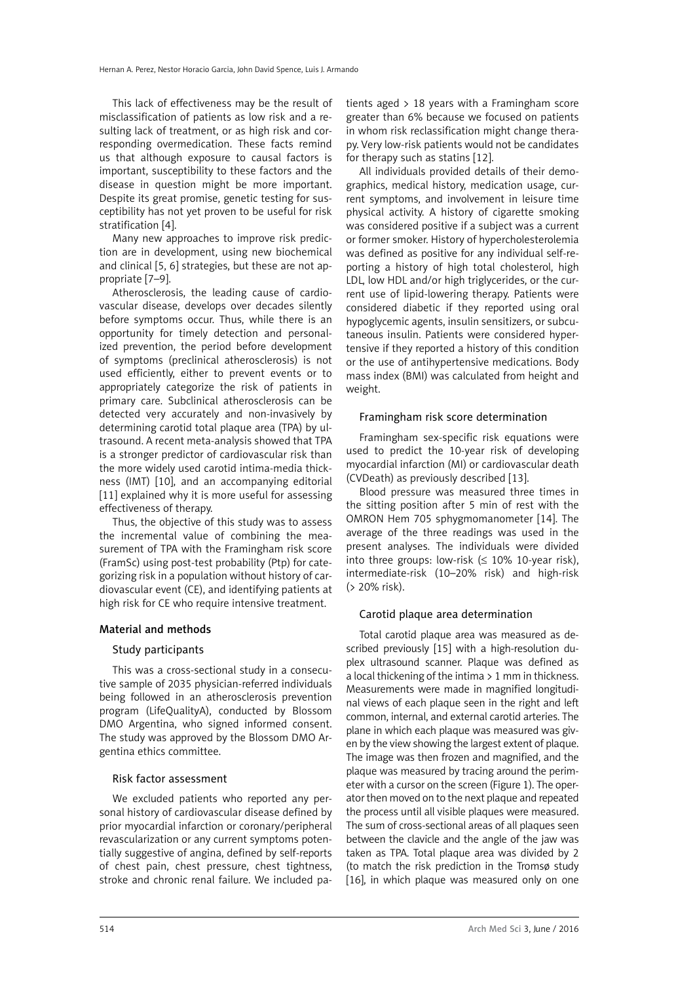This lack of effectiveness may be the result of misclassification of patients as low risk and a resulting lack of treatment, or as high risk and corresponding overmedication. These facts remind us that although exposure to causal factors is important, susceptibility to these factors and the disease in question might be more important. Despite its great promise, genetic testing for susceptibility has not yet proven to be useful for risk stratification [4].

Many new approaches to improve risk prediction are in development, using new biochemical and clinical [5, 6] strategies, but these are not appropriate [7–9].

Atherosclerosis, the leading cause of cardiovascular disease, develops over decades silently before symptoms occur. Thus, while there is an opportunity for timely detection and personalized prevention, the period before development of symptoms (preclinical atherosclerosis) is not used efficiently, either to prevent events or to appropriately categorize the risk of patients in primary care. Subclinical atherosclerosis can be detected very accurately and non-invasively by determining carotid total plaque area (TPA) by ultrasound. A recent meta-analysis showed that TPA is a stronger predictor of cardiovascular risk than the more widely used carotid intima-media thickness (IMT) [10], and an accompanying editorial [11] explained why it is more useful for assessing effectiveness of therapy.

Thus, the objective of this study was to assess the incremental value of combining the measurement of TPA with the Framingham risk score (FramSc) using post-test probability (Ptp) for categorizing risk in a population without history of cardiovascular event (CE), and identifying patients at high risk for CE who require intensive treatment.

# Material and methods

# Study participants

This was a cross-sectional study in a consecutive sample of 2035 physician-referred individuals being followed in an atherosclerosis prevention program (LifeQualityA), conducted by Blossom DMO Argentina, who signed informed consent. The study was approved by the Blossom DMO Argentina ethics committee.

#### Risk factor assessment

We excluded patients who reported any personal history of cardiovascular disease defined by prior myocardial infarction or coronary/peripheral revascularization or any current symptoms potentially suggestive of angina, defined by self-reports of chest pain, chest pressure, chest tightness, stroke and chronic renal failure. We included patients aged > 18 years with a Framingham score greater than 6% because we focused on patients in whom risk reclassification might change therapy. Very low-risk patients would not be candidates for therapy such as statins [12].

All individuals provided details of their demographics, medical history, medication usage, current symptoms, and involvement in leisure time physical activity. A history of cigarette smoking was considered positive if a subject was a current or former smoker. History of hypercholesterolemia was defined as positive for any individual self-reporting a history of high total cholesterol, high LDL, low HDL and/or high triglycerides, or the current use of lipid-lowering therapy. Patients were considered diabetic if they reported using oral hypoglycemic agents, insulin sensitizers, or subcutaneous insulin. Patients were considered hypertensive if they reported a history of this condition or the use of antihypertensive medications. Body mass index (BMI) was calculated from height and weight.

### Framingham risk score determination

Framingham sex-specific risk equations were used to predict the 10-year risk of developing myocardial infarction (MI) or cardiovascular death (CVDeath) as previously described [13].

Blood pressure was measured three times in the sitting position after 5 min of rest with the OMRON Hem 705 sphygmomanometer [14]. The average of the three readings was used in the present analyses. The individuals were divided into three groups: low-risk  $( \leq 10\% 10$ -year risk), intermediate-risk (10–20% risk) and high-risk (> 20% risk).

# Carotid plaque area determination

Total carotid plaque area was measured as described previously [15] with a high-resolution duplex ultrasound scanner. Plaque was defined as a local thickening of the intima  $> 1$  mm in thickness. Measurements were made in magnified longitudinal views of each plaque seen in the right and left common, internal, and external carotid arteries. The plane in which each plaque was measured was given by the view showing the largest extent of plaque. The image was then frozen and magnified, and the plaque was measured by tracing around the perimeter with a cursor on the screen (Figure 1). The operator then moved on to the next plaque and repeated the process until all visible plaques were measured. The sum of cross-sectional areas of all plaques seen between the clavicle and the angle of the jaw was taken as TPA. Total plaque area was divided by 2 (to match the risk prediction in the Tromsø study [16], in which plaque was measured only on one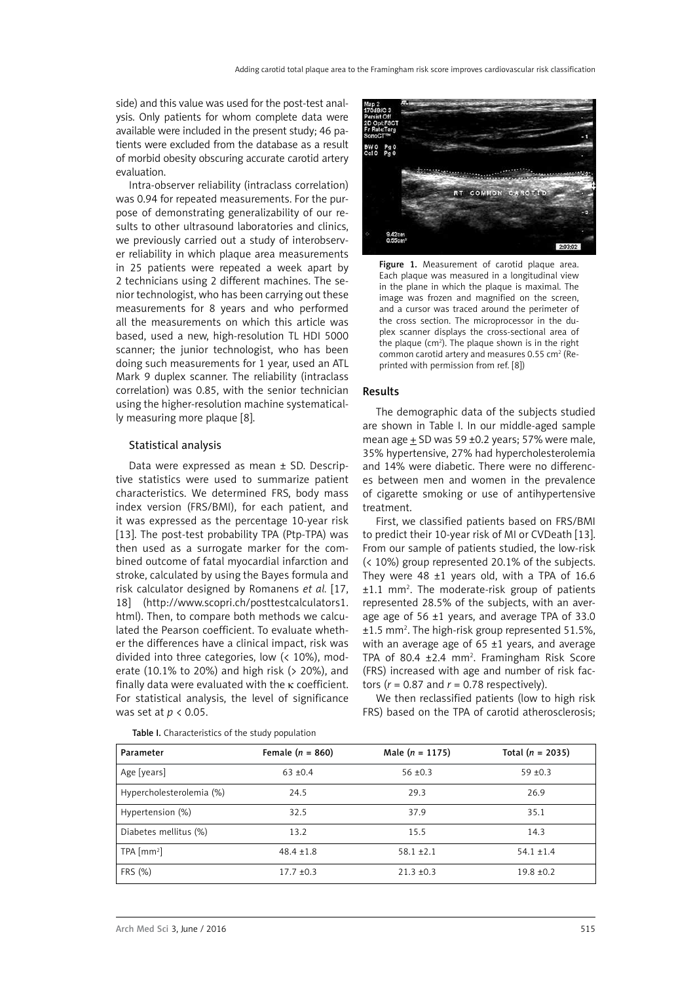side) and this value was used for the post-test analysis. Only patients for whom complete data were available were included in the present study; 46 patients were excluded from the database as a result of morbid obesity obscuring accurate carotid artery evaluation.

Intra-observer reliability (intraclass correlation) was 0.94 for repeated measurements. For the purpose of demonstrating generalizability of our results to other ultrasound laboratories and clinics, we previously carried out a study of interobserver reliability in which plaque area measurements in 25 patients were repeated a week apart by 2 technicians using 2 different machines. The senior technologist, who has been carrying out these measurements for 8 years and who performed all the measurements on which this article was based, used a new, high-resolution TL HDI 5000 scanner; the junior technologist, who has been doing such measurements for 1 year, used an ATL Mark 9 duplex scanner. The reliability (intraclass correlation) was 0.85, with the senior technician using the higher-resolution machine systematically measuring more plaque [8].

# Statistical analysis

Data were expressed as mean ± SD. Descriptive statistics were used to summarize patient characteristics. We determined FRS, body mass index version (FRS/BMI), for each patient, and it was expressed as the percentage 10-year risk [13]. The post-test probability TPA (Ptp-TPA) was then used as a surrogate marker for the combined outcome of fatal myocardial infarction and stroke, calculated by using the Bayes formula and risk calculator designed by Romanens *et al.* [17, 18] (http://www.scopri.ch/posttestcalculators1. html). Then, to compare both methods we calculated the Pearson coefficient. To evaluate whether the differences have a clinical impact, risk was divided into three categories, low (< 10%), moderate (10.1% to 20%) and high risk (> 20%), and finally data were evaluated with the  $\kappa$  coefficient. For statistical analysis, the level of significance was set at *p* < 0.05.



Figure 1. Measurement of carotid plaque area. Each plaque was measured in a longitudinal view in the plane in which the plaque is maximal. The image was frozen and magnified on the screen, and a cursor was traced around the perimeter of the cross section. The microprocessor in the duplex scanner displays the cross-sectional area of the plaque  $(cm<sup>2</sup>)$ . The plaque shown is in the right common carotid artery and measures 0.55 cm<sup>2</sup> (Reprinted with permission from ref. [8])

#### Results

The demographic data of the subjects studied are shown in Table I. In our middle-aged sample mean age  $\pm$  SD was 59  $\pm$ 0.2 years; 57% were male, 35% hypertensive, 27% had hypercholesterolemia and 14% were diabetic. There were no differences between men and women in the prevalence of cigarette smoking or use of antihypertensive treatment.

First, we classified patients based on FRS/BMI to predict their 10-year risk of MI or CVDeath [13]. From our sample of patients studied, the low-risk (< 10%) group represented 20.1% of the subjects. They were 48  $\pm 1$  years old, with a TPA of 16.6 ±1.1 mm2 . The moderate-risk group of patients represented 28.5% of the subjects, with an average age of 56 ±1 years, and average TPA of 33.0 ±1.5 mm2 . The high-risk group represented 51.5%, with an average age of  $65 \pm 1$  years, and average TPA of 80.4  $\pm$ 2.4 mm<sup>2</sup>. Framingham Risk Score (FRS) increased with age and number of risk factors ( $r = 0.87$  and  $r = 0.78$  respectively).

We then reclassified patients (low to high risk FRS) based on the TPA of carotid atherosclerosis;

| Parameter                | Female $(n = 860)$ | Male $(n = 1175)$ | Total $(n = 2035)$ |
|--------------------------|--------------------|-------------------|--------------------|
| Age [years]              | $63 \pm 0.4$       | $56 + 0.3$        | $59 \pm 0.3$       |
| Hypercholesterolemia (%) | 24.5               | 29.3              | 26.9               |
| Hypertension (%)         | 32.5               | 37.9              | 35.1               |
| Diabetes mellitus (%)    | 13.2               | 15.5              | 14.3               |
| $TPA [mm^2]$             | $48.4 \pm 1.8$     | $58.1 \pm 2.1$    | $54.1 \pm 1.4$     |
| FRS (%)                  | $17.7 \pm 0.3$     | $21.3 \pm 0.3$    | $19.8 + 0.2$       |

Table I. Characteristics of the study population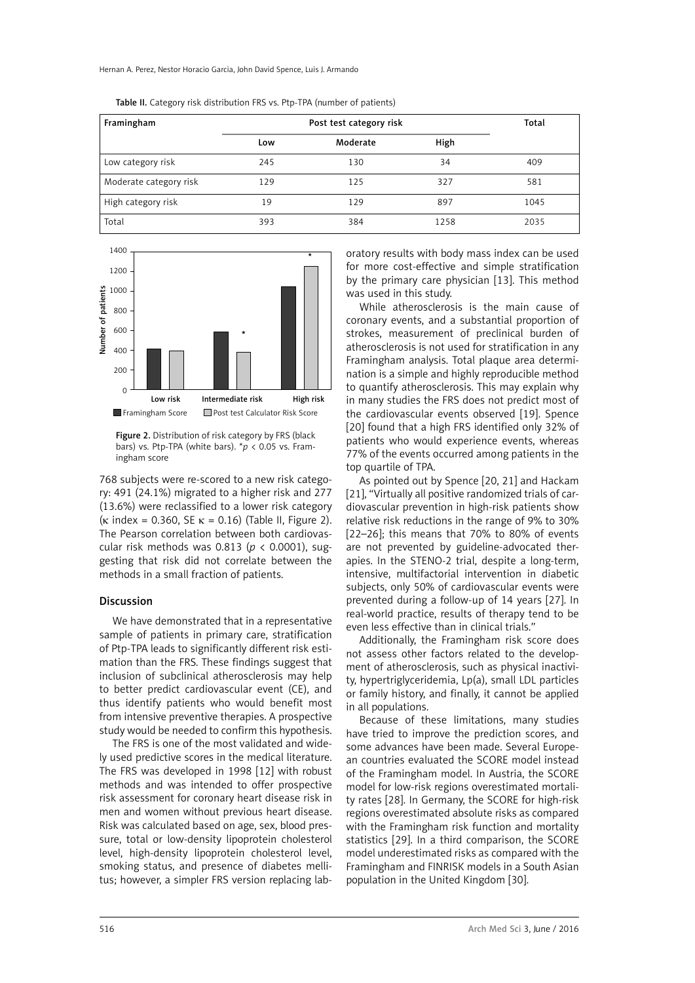Hernan A. Perez, Nestor Horacio Garcia, John David Spence, Luis J. Armando

| Framingham             | Post test category risk |          |      | Total |
|------------------------|-------------------------|----------|------|-------|
|                        | Low                     | Moderate | High |       |
| Low category risk      | 245                     | 130      | 34   | 409   |
| Moderate category risk | 129                     | 125      | 327  | 581   |
| High category risk     | 19                      | 129      | 897  | 1045  |
| Total                  | 393                     | 384      | 1258 | 2035  |

Table II. Category risk distribution FRS vs. Ptp-TPA (number of patients)



Figure 2. Distribution of risk category by FRS (black bars) vs. Ptp-TPA (white bars). \**p* < 0.05 vs. Framingham score

768 subjects were re-scored to a new risk category: 491 (24.1%) migrated to a higher risk and 277 (13.6%) were reclassified to a lower risk category ( $\kappa$  index = 0.360, SE  $\kappa$  = 0.16) (Table II, Figure 2). The Pearson correlation between both cardiovascular risk methods was 0.813 (*p* < 0.0001), suggesting that risk did not correlate between the methods in a small fraction of patients.

#### Discussion

We have demonstrated that in a representative sample of patients in primary care, stratification of Ptp-TPA leads to significantly different risk estimation than the FRS. These findings suggest that inclusion of subclinical atherosclerosis may help to better predict cardiovascular event (CE), and thus identify patients who would benefit most from intensive preventive therapies. A prospective study would be needed to confirm this hypothesis.

The FRS is one of the most validated and widely used predictive scores in the medical literature. The FRS was developed in 1998 [12] with robust methods and was intended to offer prospective risk assessment for coronary heart disease risk in men and women without previous heart disease. Risk was calculated based on age, sex, blood pressure, total or low-density lipoprotein cholesterol level, high-density lipoprotein cholesterol level, smoking status, and presence of diabetes mellitus; however, a simpler FRS version replacing laboratory results with body mass index can be used for more cost-effective and simple stratification by the primary care physician [13]. This method was used in this study.

While atherosclerosis is the main cause of coronary events, and a substantial proportion of strokes, measurement of preclinical burden of atherosclerosis is not used for stratification in any Framingham analysis. Total plaque area determination is a simple and highly reproducible method to quantify atherosclerosis. This may explain why in many studies the FRS does not predict most of the cardiovascular events observed [19]. Spence [20] found that a high FRS identified only 32% of patients who would experience events, whereas 77% of the events occurred among patients in the top quartile of TPA.

As pointed out by Spence [20, 21] and Hackam [21], "Virtually all positive randomized trials of cardiovascular prevention in high-risk patients show relative risk reductions in the range of 9% to 30% [22–26]; this means that 70% to 80% of events are not prevented by guideline-advocated therapies. In the STENO-2 trial, despite a long-term, intensive, multifactorial intervention in diabetic subjects, only 50% of cardiovascular events were prevented during a follow-up of 14 years [27]. In real-world practice, results of therapy tend to be even less effective than in clinical trials."

Additionally, the Framingham risk score does not assess other factors related to the development of atherosclerosis, such as physical inactivity, hypertriglyceridemia, Lp(a), small LDL particles or family history, and finally, it cannot be applied in all populations.

Because of these limitations, many studies have tried to improve the prediction scores, and some advances have been made. Several European countries evaluated the SCORE model instead of the Framingham model. In Austria, the SCORE model for low-risk regions overestimated mortality rates [28]. In Germany, the SCORE for high-risk regions overestimated absolute risks as compared with the Framingham risk function and mortality statistics [29]. In a third comparison, the SCORE model underestimated risks as compared with the Framingham and FINRISK models in a South Asian population in the United Kingdom [30].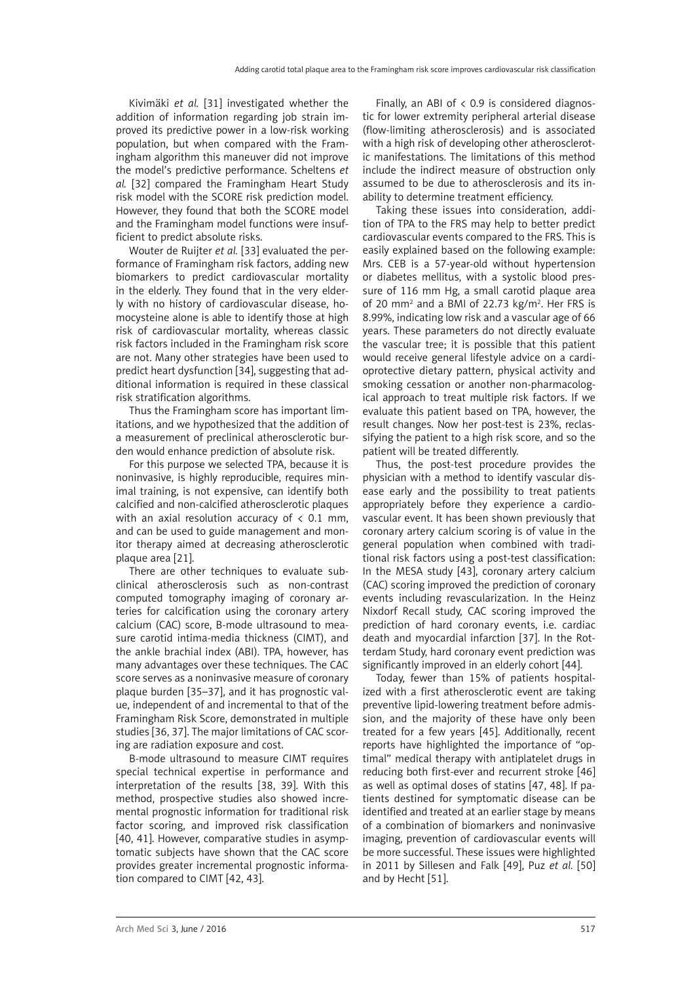Kivimäki *et al.* [31] investigated whether the addition of information regarding job strain improved its predictive power in a low-risk working population, but when compared with the Framingham algorithm this maneuver did not improve the model's predictive performance. Scheltens *et al.* [32] compared the Framingham Heart Study risk model with the SCORE risk prediction model. However, they found that both the SCORE model and the Framingham model functions were insufficient to predict absolute risks.

Wouter de Ruijter *et al.* [33] evaluated the performance of Framingham risk factors, adding new biomarkers to predict cardiovascular mortality in the elderly. They found that in the very elderly with no history of cardiovascular disease, homocysteine alone is able to identify those at high risk of cardiovascular mortality, whereas classic risk factors included in the Framingham risk score are not. Many other strategies have been used to predict heart dysfunction [34], suggesting that additional information is required in these classical risk stratification algorithms.

Thus the Framingham score has important limitations, and we hypothesized that the addition of a measurement of preclinical atherosclerotic burden would enhance prediction of absolute risk.

For this purpose we selected TPA, because it is noninvasive, is highly reproducible, requires minimal training, is not expensive, can identify both calcified and non-calcified atherosclerotic plaques with an axial resolution accuracy of  $\langle$  0.1 mm, and can be used to guide management and monitor therapy aimed at decreasing atherosclerotic plaque area [21].

There are other techniques to evaluate subclinical atherosclerosis such as non-contrast computed tomography imaging of coronary arteries for calcification using the coronary artery calcium (CAC) score, B-mode ultrasound to measure carotid intima-media thickness (CIMT), and the ankle brachial index (ABI). TPA, however, has many advantages over these techniques. The CAC score serves as a noninvasive measure of coronary plaque burden [35–37], and it has prognostic value, independent of and incremental to that of the Framingham Risk Score, demonstrated in multiple studies [36, 37]. The major limitations of CAC scoring are radiation exposure and cost.

B-mode ultrasound to measure CIMT requires special technical expertise in performance and interpretation of the results [38, 39]. With this method, prospective studies also showed incremental prognostic information for traditional risk factor scoring, and improved risk classification [40, 41]. However, comparative studies in asymptomatic subjects have shown that the CAC score provides greater incremental prognostic information compared to CIMT [42, 43].

Finally, an ABI of  $\langle$  0.9 is considered diagnostic for lower extremity peripheral arterial disease (flow-limiting atherosclerosis) and is associated with a high risk of developing other atherosclerotic manifestations. The limitations of this method include the indirect measure of obstruction only assumed to be due to atherosclerosis and its inability to determine treatment efficiency.

Taking these issues into consideration, addition of TPA to the FRS may help to better predict cardiovascular events compared to the FRS. This is easily explained based on the following example: Mrs. CEB is a 57-year-old without hypertension or diabetes mellitus, with a systolic blood pressure of 116 mm Hg, a small carotid plaque area of 20 mm<sup>2</sup> and a BMI of 22.73 kg/m<sup>2</sup>. Her FRS is 8.99%, indicating low risk and a vascular age of 66 years. These parameters do not directly evaluate the vascular tree; it is possible that this patient would receive general lifestyle advice on a cardioprotective dietary pattern, physical activity and smoking cessation or another non-pharmacological approach to treat multiple risk factors. If we evaluate this patient based on TPA, however, the result changes. Now her post-test is 23%, reclassifying the patient to a high risk score, and so the patient will be treated differently.

Thus, the post-test procedure provides the physician with a method to identify vascular disease early and the possibility to treat patients appropriately before they experience a cardiovascular event. It has been shown previously that coronary artery calcium scoring is of value in the general population when combined with traditional risk factors using a post-test classification: In the MESA study [43], coronary artery calcium (CAC) scoring improved the prediction of coronary events including revascularization. In the Heinz Nixdorf Recall study, CAC scoring improved the prediction of hard coronary events, i.e. cardiac death and myocardial infarction [37]. In the Rotterdam Study, hard coronary event prediction was significantly improved in an elderly cohort [44].

Today, fewer than 15% of patients hospitalized with a first atherosclerotic event are taking preventive lipid-lowering treatment before admission, and the majority of these have only been treated for a few years [45]. Additionally, recent reports have highlighted the importance of "optimal" medical therapy with antiplatelet drugs in reducing both first-ever and recurrent stroke [46] as well as optimal doses of statins [47, 48]. If patients destined for symptomatic disease can be identified and treated at an earlier stage by means of a combination of biomarkers and noninvasive imaging, prevention of cardiovascular events will be more successful. These issues were highlighted in 2011 by Sillesen and Falk [49], Puz *et al.* [50] and by Hecht [51].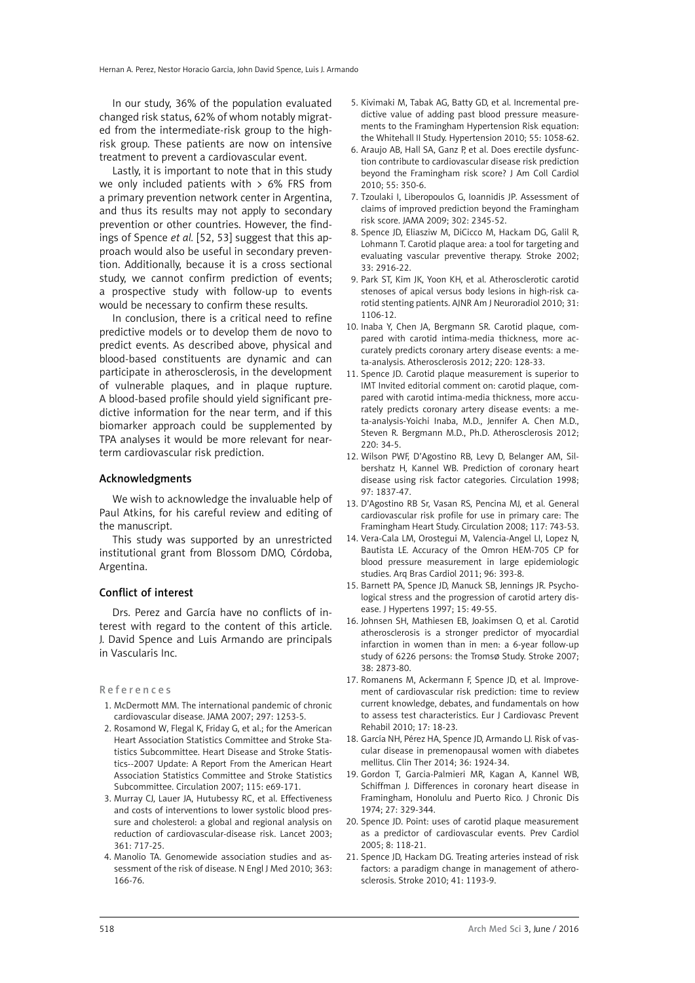In our study, 36% of the population evaluated changed risk status, 62% of whom notably migrated from the intermediate-risk group to the highrisk group. These patients are now on intensive treatment to prevent a cardiovascular event.

Lastly, it is important to note that in this study we only included patients with  $> 6\%$  FRS from a primary prevention network center in Argentina, and thus its results may not apply to secondary prevention or other countries. However, the findings of Spence *et al.* [52, 53] suggest that this approach would also be useful in secondary prevention. Additionally, because it is a cross sectional study, we cannot confirm prediction of events; a prospective study with follow-up to events would be necessary to confirm these results.

In conclusion, there is a critical need to refine predictive models or to develop them de novo to predict events. As described above, physical and blood-based constituents are dynamic and can participate in atherosclerosis, in the development of vulnerable plaques, and in plaque rupture. A blood-based profile should yield significant predictive information for the near term, and if this biomarker approach could be supplemented by TPA analyses it would be more relevant for nearterm cardiovascular risk prediction.

#### Acknowledgments

We wish to acknowledge the invaluable help of Paul Atkins, for his careful review and editing of the manuscript.

This study was supported by an unrestricted institutional grant from Blossom DMO, Córdoba, Argentina.

#### Conflict of interest

Drs. Perez and García have no conflicts of interest with regard to the content of this article. J. David Spence and Luis Armando are principals in Vascularis Inc.

#### References

- 1. McDermott MM. The international pandemic of chronic cardiovascular disease. JAMA 2007; 297: 1253-5.
- 2. Rosamond W, Flegal K, Friday G, et al.; for the American Heart Association Statistics Committee and Stroke Statistics Subcommittee. Heart Disease and Stroke Statistics--2007 Update: A Report From the American Heart Association Statistics Committee and Stroke Statistics Subcommittee. Circulation 2007; 115: e69-171.
- 3. Murray CJ, Lauer JA, Hutubessy RC, et al. Effectiveness and costs of interventions to lower systolic blood pressure and cholesterol: a global and regional analysis on reduction of cardiovascular-disease risk. Lancet 2003; 361: 717-25.
- 4. Manolio TA. Genomewide association studies and assessment of the risk of disease. N Engl J Med 2010; 363: 166-76.
- 5. Kivimaki M, Tabak AG, Batty GD, et al. Incremental predictive value of adding past blood pressure measurements to the Framingham Hypertension Risk equation: the Whitehall II Study. Hypertension 2010; 55: 1058-62.
- 6. Araujo AB, Hall SA, Ganz P, et al. Does erectile dysfunction contribute to cardiovascular disease risk prediction beyond the Framingham risk score? J Am Coll Cardiol 2010; 55: 350-6.
- 7. Tzoulaki I, Liberopoulos G, Ioannidis JP. Assessment of claims of improved prediction beyond the Framingham risk score. JAMA 2009; 302: 2345-52.
- 8. Spence JD, Eliasziw M, DiCicco M, Hackam DG, Galil R, Lohmann T. Carotid plaque area: a tool for targeting and evaluating vascular preventive therapy. Stroke 2002; 33: 2916-22.
- 9. Park ST, Kim JK, Yoon KH, et al. Atherosclerotic carotid stenoses of apical versus body lesions in high-risk carotid stenting patients. AJNR Am J Neuroradiol 2010; 31: 1106-12.
- 10. Inaba Y, Chen JA, Bergmann SR. Carotid plaque, compared with carotid intima-media thickness, more accurately predicts coronary artery disease events: a meta-analysis. Atherosclerosis 2012; 220: 128-33.
- 11. Spence JD. Carotid plaque measurement is superior to IMT Invited editorial comment on: carotid plaque, compared with carotid intima-media thickness, more accurately predicts coronary artery disease events: a meta-analysis-Yoichi Inaba, M.D., Jennifer A. Chen M.D., Steven R. Bergmann M.D., Ph.D. Atherosclerosis 2012; 220: 34-5.
- 12. Wilson PWF, D'Agostino RB, Levy D, Belanger AM, Silbershatz H, Kannel WB. Prediction of coronary heart disease using risk factor categories. Circulation 1998; 97: 1837-47.
- 13. D'Agostino RB Sr, Vasan RS, Pencina MJ, et al. General cardiovascular risk profile for use in primary care: The Framingham Heart Study. Circulation 2008; 117: 743-53.
- 14. Vera-Cala LM, Orostegui M, Valencia-Angel LI, Lopez N, Bautista LE. Accuracy of the Omron HEM-705 CP for blood pressure measurement in large epidemiologic studies. Arq Bras Cardiol 2011; 96: 393-8.
- 15. Barnett PA, Spence JD, Manuck SB, Jennings JR. Psychological stress and the progression of carotid artery disease. J Hypertens 1997; 15: 49-55.
- 16. Johnsen SH, Mathiesen EB, Joakimsen O, et al. Carotid atherosclerosis is a stronger predictor of myocardial infarction in women than in men: a 6-year follow-up study of 6226 persons: the TromsØ Study. Stroke 2007; 38: 2873-80.
- 17. Romanens M, Ackermann F, Spence JD, et al. Improvement of cardiovascular risk prediction: time to review current knowledge, debates, and fundamentals on how to assess test characteristics. Eur J Cardiovasc Prevent Rehabil 2010; 17: 18-23.
- 18. García NH, Pérez HA, Spence JD, Armando LJ. Risk of vascular disease in premenopausal women with diabetes mellitus. Clin Ther 2014; 36: 1924-34.
- 19. Gordon T, Garcia-Palmieri MR, Kagan A, Kannel WB, Schiffman J. Differences in coronary heart disease in Framingham, Honolulu and Puerto Rico. J Chronic Dis 1974; 27: 329-344.
- 20. Spence JD. Point: uses of carotid plaque measurement as a predictor of cardiovascular events. Prev Cardiol 2005; 8: 118-21.
- 21. Spence JD, Hackam DG. Treating arteries instead of risk factors: a paradigm change in management of atherosclerosis. Stroke 2010; 41: 1193-9.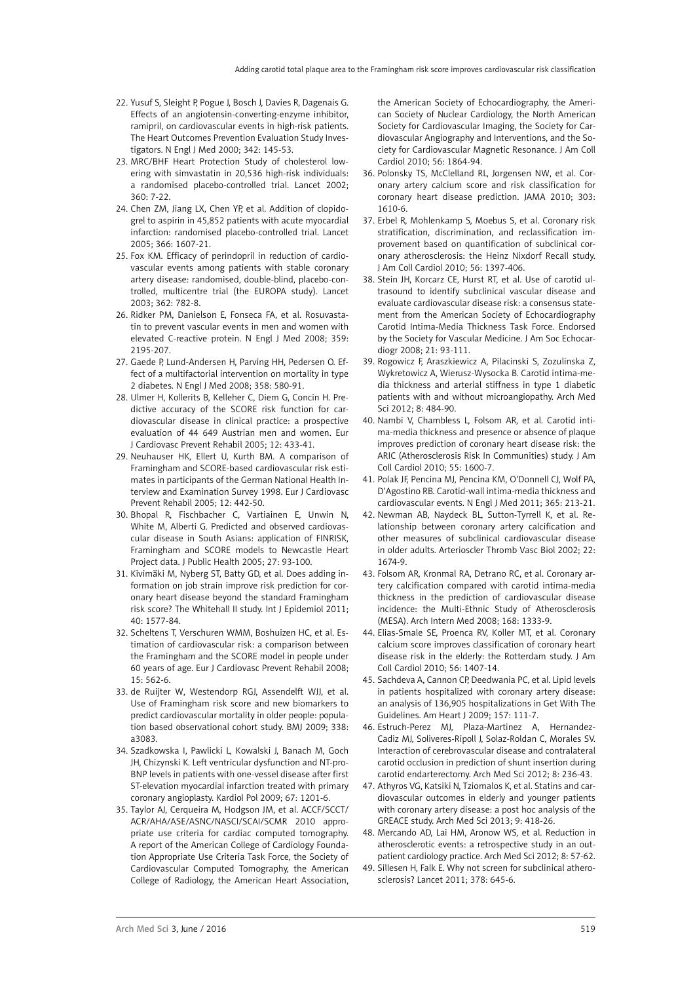- 22. Yusuf S, Sleight P, Pogue J, Bosch J, Davies R, Dagenais G. Effects of an angiotensin-converting-enzyme inhibitor, ramipril, on cardiovascular events in high-risk patients. The Heart Outcomes Prevention Evaluation Study Investigators. N Engl J Med 2000; 342: 145-53.
- 23. MRC/BHF Heart Protection Study of cholesterol lowering with simvastatin in 20,536 high-risk individuals: a randomised placebo-controlled trial. Lancet 2002; 360: 7-22.
- 24. Chen ZM, Jiang LX, Chen YP, et al. Addition of clopidogrel to aspirin in 45,852 patients with acute myocardial infarction: randomised placebo-controlled trial. Lancet 2005; 366: 1607-21.
- 25. Fox KM. Efficacy of perindopril in reduction of cardiovascular events among patients with stable coronary artery disease: randomised, double-blind, placebo-controlled, multicentre trial (the EUROPA study). Lancet 2003; 362: 782-8.
- 26. Ridker PM, Danielson E, Fonseca FA, et al. Rosuvastatin to prevent vascular events in men and women with elevated C-reactive protein. N Engl J Med 2008; 359: 2195-207.
- 27. Gaede P, Lund-Andersen H, Parving HH, Pedersen O. Effect of a multifactorial intervention on mortality in type 2 diabetes. N Engl J Med 2008; 358: 580-91.
- 28. Ulmer H, Kollerits B, Kelleher C, Diem G, Concin H. Predictive accuracy of the SCORE risk function for cardiovascular disease in clinical practice: a prospective evaluation of 44 649 Austrian men and women. Eur J Cardiovasc Prevent Rehabil 2005; 12: 433-41.
- 29. Neuhauser HK, Ellert U, Kurth BM. A comparison of Framingham and SCORE-based cardiovascular risk estimates in participants of the German National Health Interview and Examination Survey 1998. Eur J Cardiovasc Prevent Rehabil 2005; 12: 442-50.
- 30. Bhopal R, Fischbacher C, Vartiainen E, Unwin N, White M, Alberti G. Predicted and observed cardiovascular disease in South Asians: application of FINRISK, Framingham and SCORE models to Newcastle Heart Project data. J Public Health 2005; 27: 93-100.
- 31. Kivimäki M, Nyberg ST, Batty GD, et al. Does adding information on job strain improve risk prediction for coronary heart disease beyond the standard Framingham risk score? The Whitehall II study. Int J Epidemiol 2011; 40: 1577-84.
- 32. Scheltens T, Verschuren WMM, Boshuizen HC, et al. Estimation of cardiovascular risk: a comparison between the Framingham and the SCORE model in people under 60 years of age. Eur J Cardiovasc Prevent Rehabil 2008; 15: 562-6.
- 33. de Ruijter W, Westendorp RGJ, Assendelft WJJ, et al. Use of Framingham risk score and new biomarkers to predict cardiovascular mortality in older people: population based observational cohort study. BMJ 2009; 338: a3083.
- 34. Szadkowska I, Pawlicki L, Kowalski J, Banach M, Goch JH, Chizynski K. Left ventricular dysfunction and NT-pro-BNP levels in patients with one-vessel disease after first ST-elevation myocardial infarction treated with primary coronary angioplasty. Kardiol Pol 2009; 67: 1201-6.
- 35. Taylor AJ, Cerqueira M, Hodgson JM, et al. ACCF/SCCT/ ACR/AHA/ASE/ASNC/NASCI/SCAI/SCMR 2010 appropriate use criteria for cardiac computed tomography. A report of the American College of Cardiology Foundation Appropriate Use Criteria Task Force, the Society of Cardiovascular Computed Tomography, the American College of Radiology, the American Heart Association,

the American Society of Echocardiography, the American Society of Nuclear Cardiology, the North American Society for Cardiovascular Imaging, the Society for Cardiovascular Angiography and Interventions, and the Society for Cardiovascular Magnetic Resonance. J Am Coll Cardiol 2010; 56: 1864-94.

- 36. Polonsky TS, McClelland RL, Jorgensen NW, et al. Coronary artery calcium score and risk classification for coronary heart disease prediction. JAMA 2010; 303: 1610-6.
- 37. Erbel R, Mohlenkamp S, Moebus S, et al. Coronary risk stratification, discrimination, and reclassification improvement based on quantification of subclinical coronary atherosclerosis: the Heinz Nixdorf Recall study. J Am Coll Cardiol 2010; 56: 1397-406.
- 38. Stein JH, Korcarz CE, Hurst RT, et al. Use of carotid ultrasound to identify subclinical vascular disease and evaluate cardiovascular disease risk: a consensus statement from the American Society of Echocardiography Carotid Intima-Media Thickness Task Force. Endorsed by the Society for Vascular Medicine. J Am Soc Echocardiogr 2008; 21: 93-111.
- 39. Rogowicz F, Araszkiewicz A, Pilacinski S, Zozulinska Z, Wykretowicz A, Wierusz-Wysocka B. Carotid intima-media thickness and arterial stiffness in type 1 diabetic patients with and without microangiopathy. Arch Med Sci 2012; 8: 484-90.
- 40. Nambi V, Chambless L, Folsom AR, et al. Carotid intima-media thickness and presence or absence of plaque improves prediction of coronary heart disease risk: the ARIC (Atherosclerosis Risk In Communities) study. J Am Coll Cardiol 2010; 55: 1600-7.
- 41. Polak JF, Pencina MJ, Pencina KM, O'Donnell CJ, Wolf PA, D'Agostino RB. Carotid-wall intima-media thickness and cardiovascular events. N Engl J Med 2011; 365: 213-21.
- 42. Newman AB, Naydeck BL, Sutton-Tyrrell K, et al. Relationship between coronary artery calcification and other measures of subclinical cardiovascular disease in older adults. Arterioscler Thromb Vasc Biol 2002; 22: 1674-9.
- 43. Folsom AR, Kronmal RA, Detrano RC, et al. Coronary artery calcification compared with carotid intima-media thickness in the prediction of cardiovascular disease incidence: the Multi-Ethnic Study of Atherosclerosis (MESA). Arch Intern Med 2008; 168: 1333-9.
- 44. Elias-Smale SE, Proenca RV, Koller MT, et al. Coronary calcium score improves classification of coronary heart disease risk in the elderly: the Rotterdam study. J Am Coll Cardiol 2010; 56: 1407-14.
- 45. Sachdeva A, Cannon CP, Deedwania PC, et al. Lipid levels in patients hospitalized with coronary artery disease: an analysis of 136,905 hospitalizations in Get With The Guidelines. Am Heart J 2009; 157: 111-7.
- 46. Estruch-Perez MJ, Plaza-Martinez A, Hernandez-Cadiz MJ, Soliveres-Ripoll J, Solaz-Roldan C, Morales SV. Interaction of cerebrovascular disease and contralateral carotid occlusion in prediction of shunt insertion during carotid endarterectomy. Arch Med Sci 2012; 8: 236-43.
- 47. Athyros VG, Katsiki N, Tziomalos K, et al. Statins and cardiovascular outcomes in elderly and younger patients with coronary artery disease: a post hoc analysis of the GREACE study. Arch Med Sci 2013; 9: 418-26.
- 48. Mercando AD, Lai HM, Aronow WS, et al. Reduction in atherosclerotic events: a retrospective study in an outpatient cardiology practice. Arch Med Sci 2012; 8: 57-62.
- 49. Sillesen H, Falk E. Why not screen for subclinical atherosclerosis? Lancet 2011; 378: 645-6.